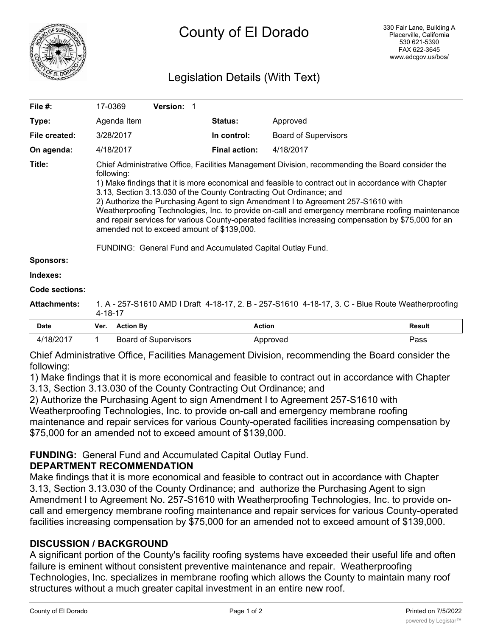

# Legislation Details (With Text)

| File #:               | 17-0369                                                                                                                                                                                                                                                                                                                                                                                                                                                                                                                                                                                                                                                                                                    |                  | Version: 1                  |  |                      |                             |  |               |
|-----------------------|------------------------------------------------------------------------------------------------------------------------------------------------------------------------------------------------------------------------------------------------------------------------------------------------------------------------------------------------------------------------------------------------------------------------------------------------------------------------------------------------------------------------------------------------------------------------------------------------------------------------------------------------------------------------------------------------------------|------------------|-----------------------------|--|----------------------|-----------------------------|--|---------------|
| Type:                 |                                                                                                                                                                                                                                                                                                                                                                                                                                                                                                                                                                                                                                                                                                            | Agenda Item      |                             |  | <b>Status:</b>       | Approved                    |  |               |
| File created:         | 3/28/2017                                                                                                                                                                                                                                                                                                                                                                                                                                                                                                                                                                                                                                                                                                  |                  |                             |  | In control:          | <b>Board of Supervisors</b> |  |               |
| On agenda:            | 4/18/2017                                                                                                                                                                                                                                                                                                                                                                                                                                                                                                                                                                                                                                                                                                  |                  |                             |  | <b>Final action:</b> | 4/18/2017                   |  |               |
| Title:                | Chief Administrative Office, Facilities Management Division, recommending the Board consider the<br>following:<br>1) Make findings that it is more economical and feasible to contract out in accordance with Chapter<br>3.13, Section 3.13.030 of the County Contracting Out Ordinance; and<br>2) Authorize the Purchasing Agent to sign Amendment I to Agreement 257-S1610 with<br>Weatherproofing Technologies, Inc. to provide on-call and emergency membrane roofing maintenance<br>and repair services for various County-operated facilities increasing compensation by \$75,000 for an<br>amended not to exceed amount of \$139,000.<br>FUNDING: General Fund and Accumulated Capital Outlay Fund. |                  |                             |  |                      |                             |  |               |
| <b>Sponsors:</b>      |                                                                                                                                                                                                                                                                                                                                                                                                                                                                                                                                                                                                                                                                                                            |                  |                             |  |                      |                             |  |               |
| Indexes:              |                                                                                                                                                                                                                                                                                                                                                                                                                                                                                                                                                                                                                                                                                                            |                  |                             |  |                      |                             |  |               |
| <b>Code sections:</b> |                                                                                                                                                                                                                                                                                                                                                                                                                                                                                                                                                                                                                                                                                                            |                  |                             |  |                      |                             |  |               |
| <b>Attachments:</b>   | 1. A - 257-S1610 AMD I Draft 4-18-17, 2. B - 257-S1610 4-18-17, 3. C - Blue Route Weatherproofing<br>4-18-17                                                                                                                                                                                                                                                                                                                                                                                                                                                                                                                                                                                               |                  |                             |  |                      |                             |  |               |
| <b>Date</b>           | Ver.                                                                                                                                                                                                                                                                                                                                                                                                                                                                                                                                                                                                                                                                                                       | <b>Action By</b> |                             |  | <b>Action</b>        |                             |  | <b>Result</b> |
| 4/18/2017             | 1                                                                                                                                                                                                                                                                                                                                                                                                                                                                                                                                                                                                                                                                                                          |                  | <b>Board of Supervisors</b> |  |                      | Approved                    |  | Pass          |

Chief Administrative Office, Facilities Management Division, recommending the Board consider the following:

1) Make findings that it is more economical and feasible to contract out in accordance with Chapter 3.13, Section 3.13.030 of the County Contracting Out Ordinance; and

2) Authorize the Purchasing Agent to sign Amendment I to Agreement 257-S1610 with

Weatherproofing Technologies, Inc. to provide on-call and emergency membrane roofing maintenance and repair services for various County-operated facilities increasing compensation by \$75,000 for an amended not to exceed amount of \$139,000.

# **FUNDING:** General Fund and Accumulated Capital Outlay Fund.

### **DEPARTMENT RECOMMENDATION**

Make findings that it is more economical and feasible to contract out in accordance with Chapter 3.13, Section 3.13.030 of the County Ordinance; and authorize the Purchasing Agent to sign Amendment I to Agreement No. 257-S1610 with Weatherproofing Technologies, Inc. to provide oncall and emergency membrane roofing maintenance and repair services for various County-operated facilities increasing compensation by \$75,000 for an amended not to exceed amount of \$139,000.

## **DISCUSSION / BACKGROUND**

A significant portion of the County's facility roofing systems have exceeded their useful life and often failure is eminent without consistent preventive maintenance and repair. Weatherproofing Technologies, Inc. specializes in membrane roofing which allows the County to maintain many roof structures without a much greater capital investment in an entire new roof.